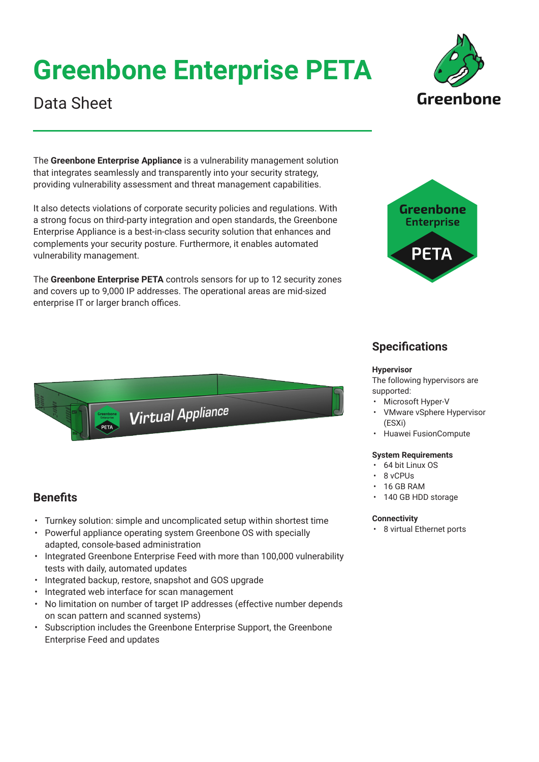# **Greenbone Enterprise PETA**

### Data Sheet

The **Greenbone Enterprise Appliance** is a vulnerability management solution that integrates seamlessly and transparently into your security strategy, providing vulnerability assessment and threat management capabilities.

It also detects violations of corporate security policies and regulations. With a strong focus on third-party integration and open standards, the Greenbone Enterprise Appliance is a best-in-class security solution that enhances and complements your security posture. Furthermore, it enables automated vulnerability management.

The **Greenbone Enterprise PETA** controls sensors for up to 12 security zones and covers up to 9,000 IP addresses. The operational areas are mid-sized enterprise IT or larger branch offices.

• Turnkey solution: simple and uncomplicated setup within shortest time • Powerful appliance operating system Greenbone OS with specially

**Virtual Appliance** 

• Integrated Greenbone Enterprise Feed with more than 100,000 vulnerability

• No limitation on number of target IP addresses (effective number depends

• Subscription includes the Greenbone Enterprise Support, the Greenbone

adapted, console-based administration

on scan pattern and scanned systems)

Enterprise Feed and updates

• Integrated backup, restore, snapshot and GOS upgrade

• Integrated web interface for scan management

tests with daily, automated updates

**Benefits**



Greenhone

### **Specifications**

#### **Hypervisor**

The following hypervisors are supported:

- Microsoft Hyper-V
- VMware vSphere Hypervisor (ESXi)
- Huawei FusionCompute

#### **System Requirements**

- 64 bit Linux OS
- 8 vCPUs
- 16 GB RAM
- 140 GB HDD storage

#### **Connectivity**

• 8 virtual Ethernet ports